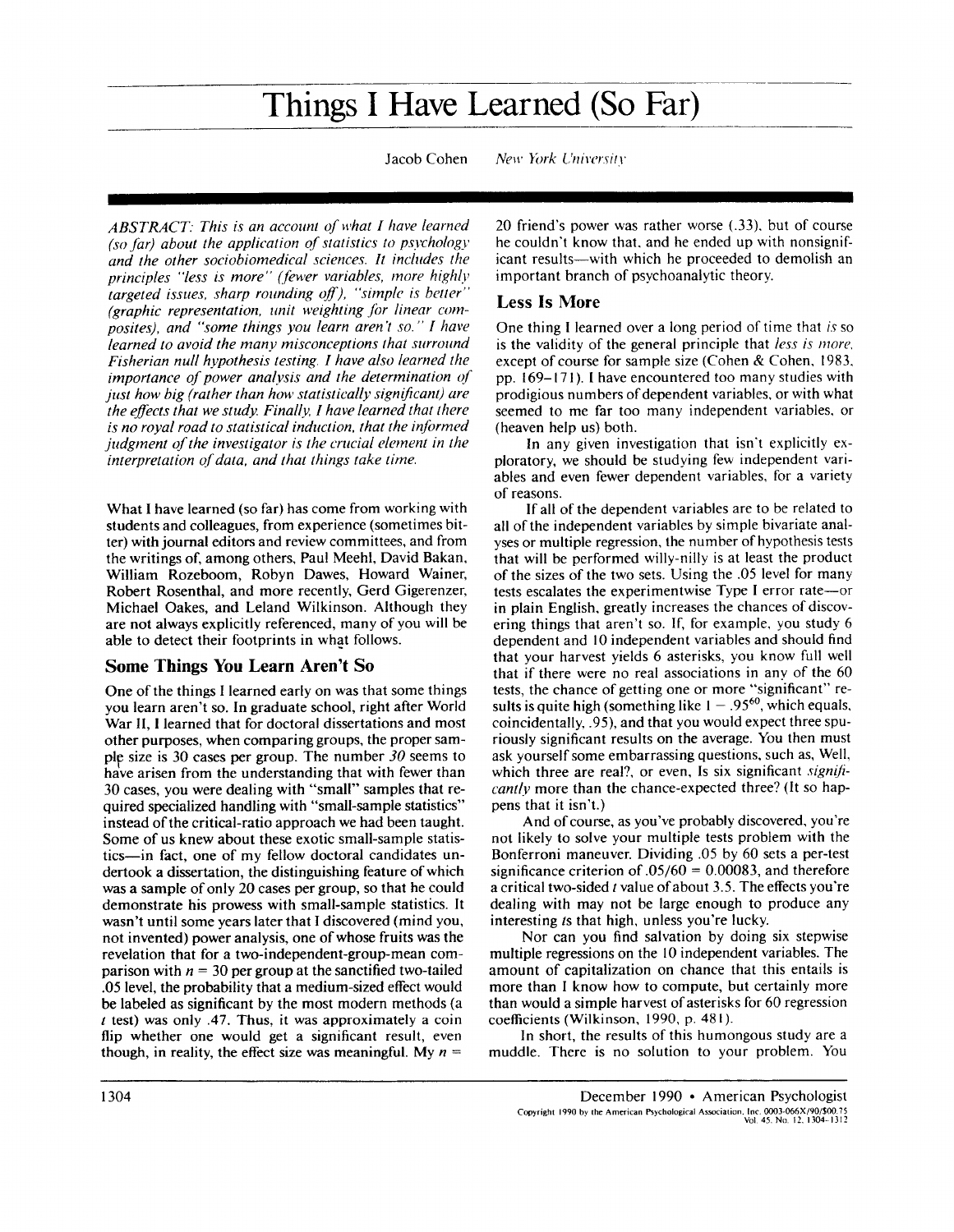# Things I Have Learned (So Far)

Jacob Cohen *New York University*

*ABSTRACT: This is an account of what I have learned (so far) about the application of statistics to psychology and the other sociobiomedical sciences. It includes the principles "less is more" (fewer variables, more highly targeted issues, sharp rounding off), "simple is better" (graphic representation, unit weighting for linear composites), and "some things you learn aren't so." I have learned to avoid the many misconceptions that surround Fisherian null hypothesis testing. I have also learned the importance of power analysis and the determination of just how big (rather than how statistically significant) are the effects that we study. Finally, I have learned that there is no royal road to statistical induction, that the informed judgment of the investigator is the crucial element in the interpretation of data, and that things take time.*

What I have learned (so far) has come from working with students and colleagues, from experience (sometimes bitter) with journal editors and review committees, and from the writings of, among others, Paul Meehl, David Bakan, William Rozeboom, Robyn Dawes, Howard Wainer, Robert Rosenthal, and more recently, Gerd Gigerenzer, Michael Oakes, and Leland Wilkinson. Although they are not always explicitly referenced, many of you will be able to detect their footprints in what follows.

# Some Things You Learn Aren't So

One of the things I learned early on was that some things you learn aren't so. In graduate school, right after World War II, I learned that for doctoral dissertations and most other purposes, when comparing groups, the proper sample size is 30 cases per group. The number *30* seems to have arisen from the understanding that with fewer than 30 cases, you were dealing with "small" samples that required specialized handling with "small-sample statistics" instead of the critical-ratio approach we had been taught. Some of us knew about these exotic small-sample statistics—in fact, one of my fellow doctoral candidates undertook a dissertation, the distinguishing feature of which was a sample of only 20 cases per group, so that he could demonstrate his prowess with small-sample statistics. It wasn't until some years later that I discovered (mind you, not invented) power analysis, one of whose fruits was the revelation that for a two-independent-group-mean comparison with  $n = 30$  per group at the sanctified two-tailed .05 level, the probability that a medium-sized effect would be labeled as significant by the most modern methods (a *t* test) was only .47. Thus, it was approximately a coin flip whether one would get a significant result, even though, in reality, the effect size was meaningful. My  $n =$ 

20 friend's power was rather worse (.33), but of course he couldn't know that, and he ended up with nonsignificant results—with which he proceeded to demolish an important branch of psychoanalytic theory.

### Less Is More

One thing I learned over a long period of time that *is* so is the validity of the general principle that *less is more.* except of course for sample size (Cohen & Cohen, 1983, pp. 169-171). I have encountered too many studies with prodigious numbers of dependent variables, or with what seemed to me far too many independent variables, or (heaven help us) both.

In any given investigation that isn't explicitly exploratory, we should be studying few independent variables and even fewer dependent variables, for a variety of reasons.

If all of the dependent variables are to be related to all of the independent variables by simple bivariate analyses or multiple regression, the number of hypothesis tests that will be performed willy-nilly is at least the product of the sizes of the two sets. Using the .05 level for many tests escalates the experimentwise Type I error rate—or in plain English, greatly increases the chances of discovering things that aren't so. If, for example, you study 6 dependent and 10 independent variables and should find that your harvest yields 6 asterisks, you know full well that if there were no real associations in any of the 60 tests, the chance of getting one or more "significant" results is quite high (something like  $1 - .95^{60}$ , which equals, coincidentally, .95), and that you would expect three spuriously significant results on the average. You then must ask yourself some embarrassing questions, such as, Well, which three are real?, or even. Is six significant *significantly* more than the chance-expected three? (It so happens that it isn't.)

And of course, as you've probably discovered, you're not likely to solve your multiple tests problem with the Bonferroni maneuver. Dividing .05 by 60 sets a per-test significance criterion of  $.05/60 = 0.00083$ , and therefore a critical two-sided *t* value of about 3.5. The effects you're dealing with may not be large enough to produce any interesting *ts* that high, unless you're lucky.

Nor can you find salvation by doing six stepwise multiple regressions on the 10 independent variables. The amount of capitalization on chance that this entails is more than I know how to compute, but certainly more than would a simple harvest of asterisks for 60 regression coefficients (Wilkinson, 1990, p. 481).

In short, the results of this humongous study are a muddle. There is no solution to your problem. You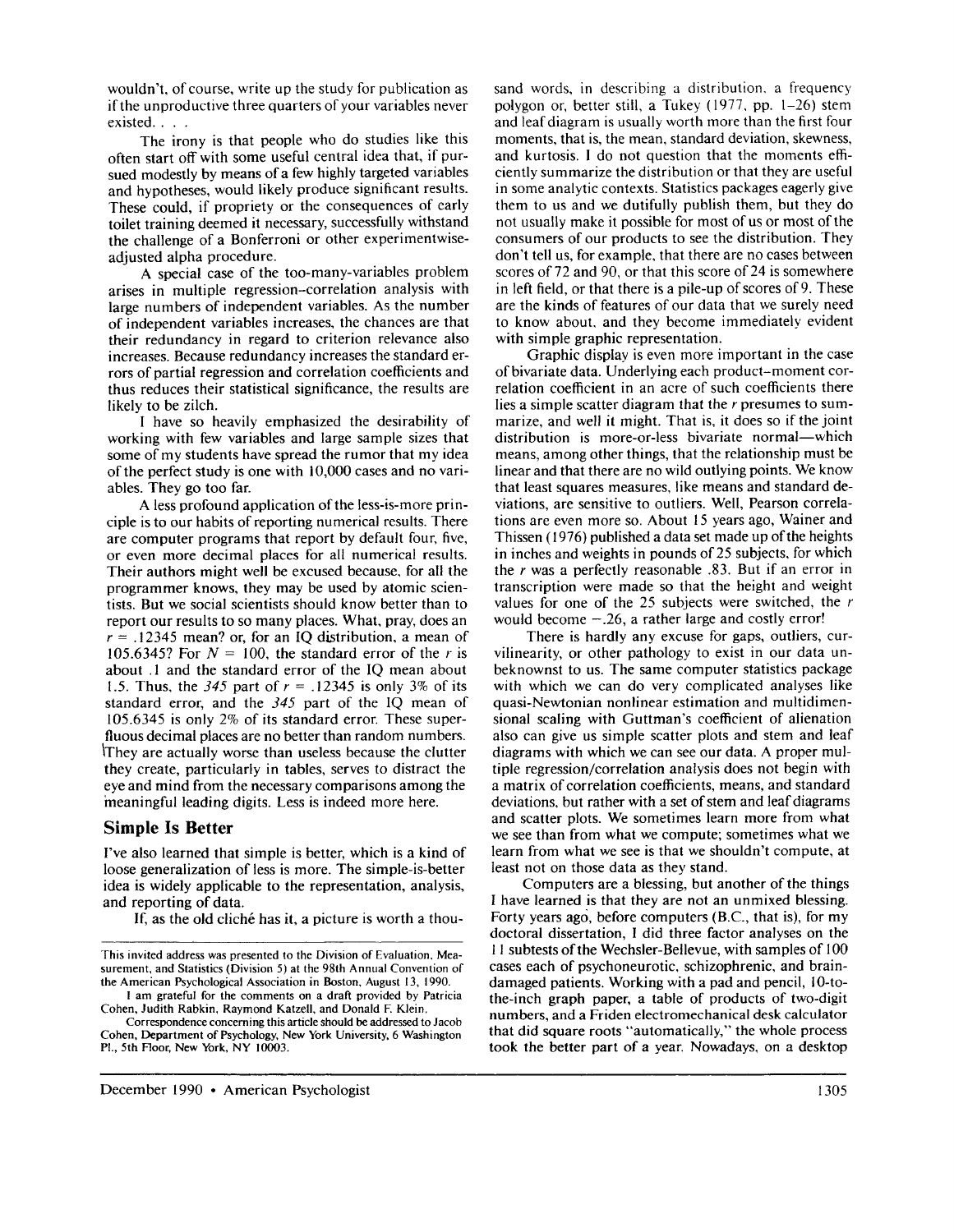wouldn't, of course, write up the study for publication as if the unproductive three quarters of your variables never existed. . . .

The irony is that people who do studies like this often start off with some useful central idea that, if pursued modestly by means of a few highly targeted variables and hypotheses, would likely produce significant results. These could, if propriety or the consequences of early toilet training deemed it necessary, successfully withstand the challenge of a Bonferroni or other experimentwiseadjusted alpha procedure.

A special case of the too-many-variables problem arises in multiple regression-correlation analysis with large numbers of independent variables. As the number of independent variables increases, the chances are that their redundancy in regard to criterion relevance also increases. Because redundancy increases the standard errors of partial regression and correlation coefficients and thus reduces their statistical significance, the results are likely to be zilch.

I have so heavily emphasized the desirability of working with few variables and large sample sizes that some of my students have spread the rumor that my idea of the perfect study is one with 10,000 cases and no variables. They go too far.

A less profound application of the less-is-more principle is to our habits of reporting numerical results. There are computer programs that report by default four, five, or even more decimal places for all numerical results. Their authors might well be excused because, for all the programmer knows, they may be used by atomic scientists. But we social scientists should know better than to report our results to so many places. What, pray, does an *r —* .12345 mean? or, for an IQ distribution, a mean of 105.6345? For  $N = 100$ , the standard error of the r is about . 1 and the standard error of the IQ mean about 1.5. Thus, the 345 part of  $r = .12345$  is only 3% of its standard error, and the *345* part of the IQ mean of 105.6345 is only 2% of its standard error. These superfluous decimal places are no better than random numbers. \They are actually worse than useless because the clutter they create, particularly in tables, serves to distract the eye and mind from the necessary comparisons among the meaningful leading digits. Less is indeed more here.

#### Simple Is Better

I've also learned that simple is better, which is a kind of loose generalization of less is more. The simple-is-better idea is widely applicable to the representation, analysis, and reporting of data.

If, as the old cliché has it, a picture is worth a thou-

sand words, in describing a distribution, a frequency polygon or, better still, a Tukey (1977, pp. 1-26) stem and leaf diagram is usually worth more than the first four moments, that is, the mean, standard deviation, skewness, and kurtosis. I do not question that the moments efficiently summarize the distribution or that they are useful in some analytic contexts. Statistics packages eagerly give them to us and we dutifully publish them, but they do not usually make it possible for most of us or most of the consumers of our products to see the distribution. They don't tell us, for example, that there are no cases between scores of 72 and 90, or that this score of 24 is somewhere in left field, or that there is a pile-up of scores of 9. These are the kinds of features of our data that we surely need to know about, and they become immediately evident with simple graphic representation.

Graphic display is even more important in the case of bivariate data. Underlying each product-moment correlation coefficient in an acre of such coefficients there lies a simple scatter diagram that the  $r$  presumes to summarize, and well it might. That is, it does so if the joint distribution is more-or-less bivariate normal—which means, among other things, that the relationship must be linear and that there are no wild outlying points. We know that least squares measures, like means and standard deviations, are sensitive to outliers. Well, Pearson correlations are even more so. About 15 years ago, Wainer and Thissen (1976) published a data set made up of the heights in inches and weights in pounds of 25 subjects, for which the *r* was a perfectly reasonable .83. But if an error in transcription were made so that the height and weight values for one of the 25 subjects were switched, the *r* would become  $-.26$ , a rather large and costly error!

There is hardly any excuse for gaps, outliers, curvilinearity, or other pathology to exist in our data unbeknownst to us. The same computer statistics package with which we can do very complicated analyses like quasi-Newtonian nonlinear estimation and multidimensional scaling with Guttman's coefficient of alienation also can give us simple scatter plots and stem and leaf diagrams with which we can see our data. A proper multiple regression/correlation analysis does not begin with a matrix of correlation coefficients, means, and standard deviations, but rather with a set of stem and leaf diagrams and scatter plots. We sometimes learn more from what we see than from what we compute; sometimes what we learn from what we see is that we shouldn't compute, at least not on those data as they stand.

Computers are a blessing, but another of the things I have learned is that they are not an unmixed blessing. Forty years ago, before computers (B.C., that is), for my doctoral dissertation, I did three factor analyses on the I1 subtests of the Wechsler-Bellevue, with samples of 100 cases each of psychoneurotic, schizophrenic, and braindamaged patients. Working with a pad and pencil, 10-tothe-inch graph paper, a table of products of two-digit numbers, and a Friden electromechanical desk calculator that did square roots "automatically," the whole process took the better part of a year. Nowadays, on a desktop

This invited address was presented to the Division of Evaluation, Measurement, and Statistics (Division 5) at the 98th Annual Convention of the American Psychological Association in Boston, August 13, 1990.

I am grateful for the comments on a draft provided by Patricia Cohen, Judith Rabkin, Raymond Katzell, and Donald F. Klein.

Correspondence concerning this article should be addressed to Jacob Cohen, Department of Psychology, New York University, 6 Washington P!., 5th Floor, New York, NY 10003.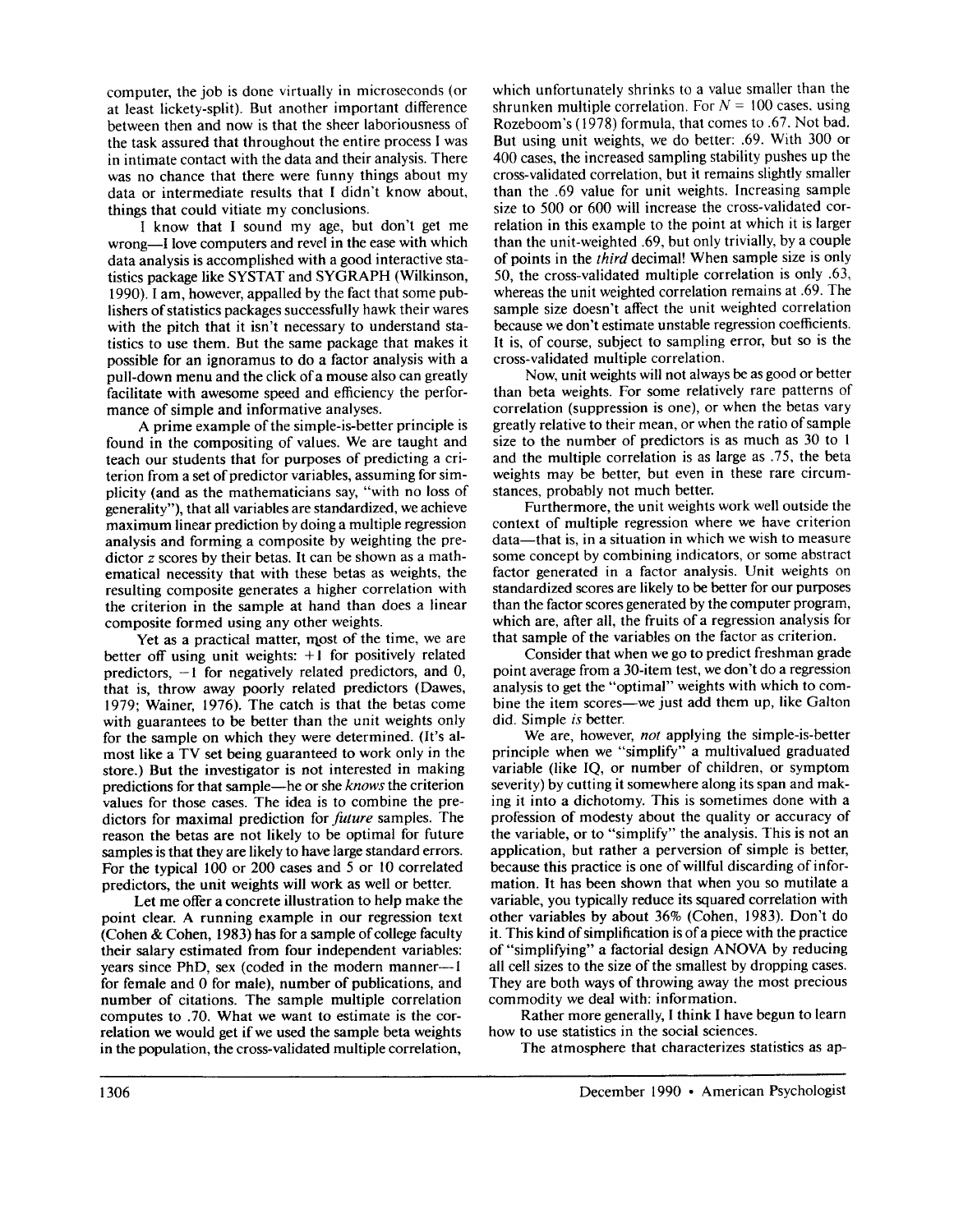computer, the job is done virtually in microseconds (or at least lickety-split). But another important difference between then and now is that the sheer laboriousness of the task assured that throughout the entire process I was in intimate contact with the data and their analysis. There was no chance that there were funny things about my data or intermediate results that I didn't know about, things that could vitiate my conclusions.

I know that I sound my age, but don't get me wrong—I love computers and revel in the ease with which data analysis is accomplished with a good interactive statistics package like SYSTAT and SYGRAPH (Wilkinson, 1990). I am, however, appalled by the fact that some publishers of statistics packages successfully hawk their wares with the pitch that it isn't necessary to understand statistics to use them. But the same package that makes it possible for an ignoramus to do a factor analysis with a pull-down menu and the click of a mouse also can greatly facilitate with awesome speed and efficiency the performance of simple and informative analyses.

A prime example of the simple-is-better principle is found in the compositing of values. We are taught and teach our students that for purposes of predicting a criterion from a set of predictor variables, assuming for simplicity (and as the mathematicians say, "with no loss of generality"), that all variables are standardized, we achieve maximum linear prediction by doing a multiple regression analysis and forming a composite by weighting the predictor z scores by their betas. It can be shown as a mathematical necessity that with these betas as weights, the resulting composite generates a higher correlation with the criterion in the sample at hand than does a linear composite formed using any other weights.

Yet as a practical matter, most of the time, we are better off using unit weights:  $+1$  for positively related predictors,  $-1$  for negatively related predictors, and 0, that is, throw away poorly related predictors (Dawes, 1979; Wainer, 1976). The catch is that the betas come with guarantees to be better than the unit weights only for the sample on which they were determined. (It's almost like a TV set being guaranteed to work only in the store.) But the investigator is not interested in making predictions for that sample—he or she *knows* the criterion values for those cases. The idea is to combine the predictors for maximal prediction for *future* samples. The reason the betas are not likely to be optimal for future samples is that they are likely to have large standard errors. For the typical 100 or 200 cases and 5 or 10 correlated predictors, the unit weights will work as well or better.

Let me offer a concrete illustration to help make the point clear. A running example in our regression text (Cohen & Cohen, 1983) has for a sample of college faculty their salary estimated from four independent variables: years since PhD, sex (coded in the modern manner—1 for female and 0 for male), number of publications, and number of citations. The sample multiple correlation computes to .70. What we want to estimate is the correlation we would get if we used the sample beta weights in the population, the cross-validated multiple correlation,

which unfortunately shrinks to a value smaller than the shrunken multiple correlation. For  $N = 100$  cases, using Rozeboom's (1978) formula, that comes to .67. Not bad. But using unit weights, we do better: .69. With 300 or 400 cases, the increased sampling stability pushes up the cross-validated correlation, but it remains slightly smaller than the .69 value for unit weights. Increasing sample size to 500 or 600 will increase the cross-validated correlation in this example to the point at which it is larger than the unit-weighted .69, but only trivially, by a couple of points in the *third decimal\*.* When sample size is only 50, the cross-validated multiple correlation is only .63, whereas the unit weighted correlation remains at .69. The sample size doesn't affect the unit weighted correlation because we don't estimate unstable regression coefficients. It is, of course, subject to sampling error, but so is the cross-validated multiple correlation.

Now, unit weights will not always be as good or better than beta weights. For some relatively rare patterns of correlation (suppression is one), or when the betas vary greatly relative to their mean, or when the ratio of sample size to the number of predictors is as much as 30 to 1 and the multiple correlation is as large as .75, the beta weights may be better, but even in these rare circumstances, probably not much better.

Furthermore, the unit weights work well outside the context of multiple regression where we have criterion data—that is, in a situation in which we wish to measure some concept by combining indicators, or some abstract factor generated in a factor analysis. Unit weights on standardized scores are likely to be better for our purposes than the factor scores generated by the computer program, which are, after all, the fruits of a regression analysis for that sample of the variables on the factor as criterion.

Consider that when we go to predict freshman grade point average from a 30-item test, we don't do a regression analysis to get the "optimal" weights with which to combine the item scores—we just add them up, like Galton did. Simple *is* better.

We are, however, *not* applying the simple-is-better principle when we "simplify" a multivalued graduated variable (like IQ, or number of children, or symptom severity) by cutting it somewhere along its span and making it into a dichotomy. This is sometimes done with a profession of modesty about the quality or accuracy of the variable, or to "simplify" the analysis. This is not an application, but rather a perversion of simple is better, because this practice is one of willful discarding of information. It has been shown that when you so mutilate a variable, you typically reduce its squared correlation with other variables by about 36% (Cohen, 1983). Don't do it. This kind of simplification is of a piece with the practice of "simplifying" a factorial design ANOVA by reducing all cell sizes to the size of the smallest by dropping cases. They are both ways of throwing away the most precious commodity we deal with: information.

Rather more generally, I think I have begun to learn how to use statistics in the social sciences.

The atmosphere that characterizes statistics as ap-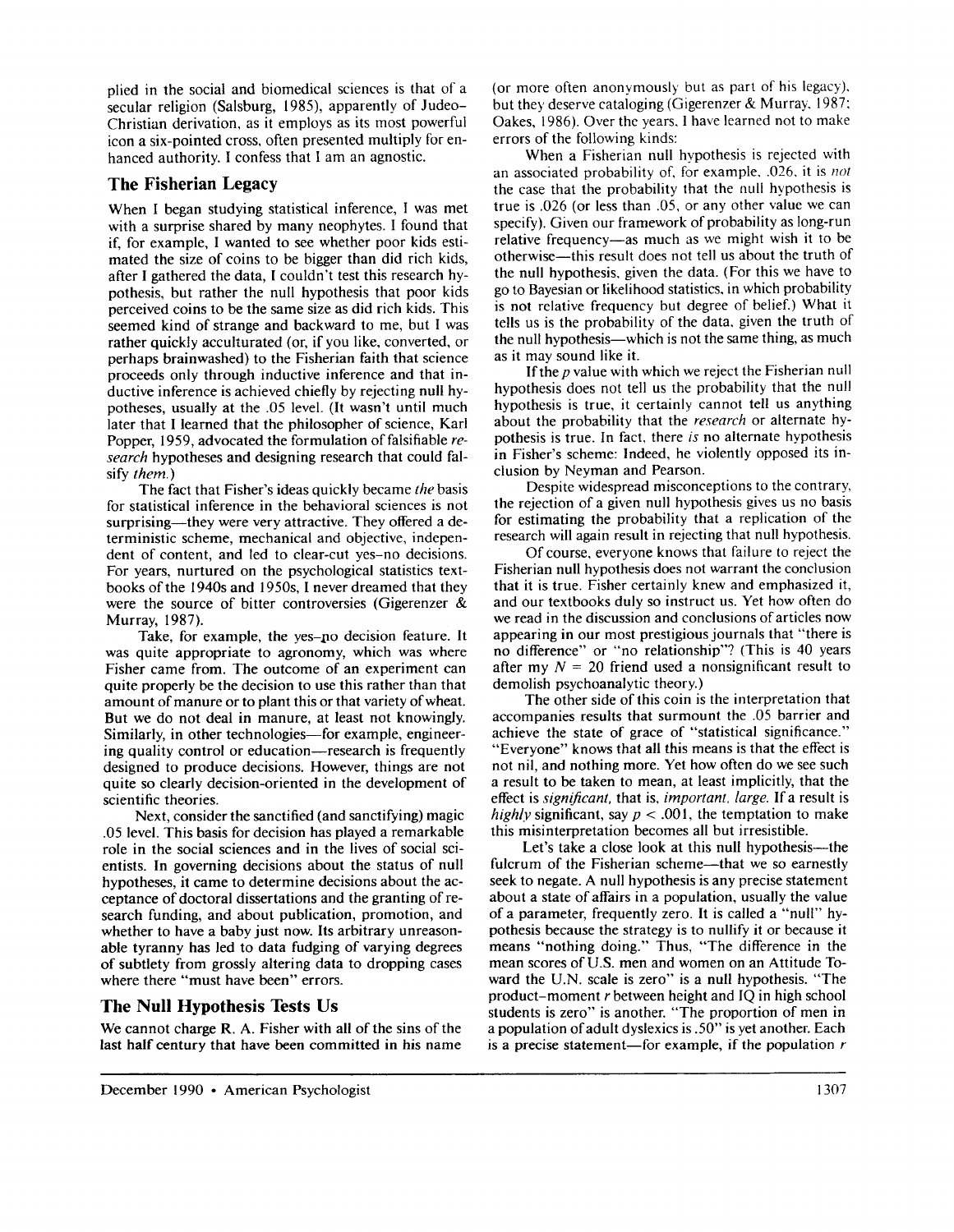plied in the social and biomedical sciences is that of a secular religion (Salsburg, 1985), apparently of Judeo-Christian derivation, as it employs as its most powerful icon a six-pointed cross, often presented multiply for enhanced authority. I confess that I am an agnostic.

#### The Fisherian Legacy

When I began studying statistical inference, I was met with a surprise shared by many neophytes. I found that if, for example, I wanted to see whether poor kids estimated the size of coins to be bigger than did rich kids, after I gathered the data, I couldn't test this research hypothesis, but rather the null hypothesis that poor kids perceived coins to be the same size as did rich kids. This seemed kind of strange and backward to me, but I was rather quickly acculturated (or, if you like, converted, or perhaps brainwashed) to the Fisherian faith that science proceeds only through inductive inference and that inductive inference is achieved chiefly by rejecting null hypotheses, usually at the .05 level. (It wasn't until much later that I learned that the philosopher of science, Karl Popper, 1959, advocated the formulation of falsifiable *research* hypotheses and designing research that could falsify *them.)*

The fact that Fisher's ideas quickly became *the* basis for statistical inference in the behavioral sciences is not surprising—they were very attractive. They offered a deterministic scheme, mechanical and objective, independent of content, and led to clear-cut yes-no decisions. For years, nurtured on the psychological statistics textbooks of the 1940s and 1950s, I never dreamed that they were the source of bitter controversies (Gigerenzer & Murray, 1987).

Take, for example, the yes-no decision feature. It was quite appropriate to agronomy, which was where Fisher came from. The outcome of an experiment can quite properly be the decision to use this rather than that amount of manure or to plant this or that variety of wheat. But we do not deal in manure, at least not knowingly. Similarly, in other technologies—for example, engineering quality control or education—research is frequently designed to produce decisions. However, things are not quite so clearly decision-oriented in the development of scientific theories.

Next, consider the sanctified (and sanctifying) magic .05 level. This basis for decision has played a remarkable role in the social sciences and in the lives of social scientists. In governing decisions about the status of null hypotheses, it came to determine decisions about the acceptance of doctoral dissertations and the granting of research funding, and about publication, promotion, and whether to have a baby just now. Its arbitrary unreasonable tyranny has led to data fudging of varying degrees of subtlety from grossly altering data to dropping cases where there "must have been" errors.

# The Null Hypothesis Tests Us

We cannot charge R. A. Fisher with all of the sins of the last half century that have been committed in his name (or more often anonymously but as part of his legacy), but they deserve cataloging (Gigerenzer & Murray. 1987; Oakes, 1986). Over the years, 1 have learned not to make errors of the following kinds:

When a Fisherian null hypothesis is rejected with an associated probability of, for example. .026, it is *not* the case that the probability that the null hypothesis is true is .026 (or less than .05, or any other value we can specify). Given our framework of probability as long-run relative frequency—as much as we might wish it to be otherwise—this result does not tell us about the truth of the null hypothesis, given the data. (For this we have to go to Bayesian or likelihood statistics, in which probability is not relative frequency but degree of belief.) What it tells us is the probability of the data, given the truth of the null hypothesis—which is not the same thing, as much as it may sound like it.

If the *p* value with which we reject the Fisherian null hypothesis does not tell us the probability that the null hypothesis is true, it certainly cannot tell us anything about the probability that the *research* or alternate hypothesis is true. In fact, there *is* no alternate hypothesis in Fisher's scheme: Indeed, he violently opposed its inclusion by Neyman and Pearson.

Despite widespread misconceptions to the contrary, the rejection of a given null hypothesis gives us no basis for estimating the probability that a replication of the research will again result in rejecting that null hypothesis.

Of course, everyone knows that failure to reject the Fisherian null hypothesis does not warrant the conclusion that it is true. Fisher certainly knew and emphasized it, and our textbooks duly so instruct us. Yet how often do we read in the discussion and conclusions of articles now appearing in our most prestigious journals that "there is no difference" or "no relationship"? (This is 40 years after my  $N = 20$  friend used a nonsignificant result to demolish psychoanalytic theory.)

The other side of this coin is the interpretation that accompanies results that surmount the .05 barrier and achieve the state of grace of "statistical significance." "Everyone" knows that all this means is that the effect is not nil, and nothing more. Yet how often do we see such a result to be taken to mean, at least implicitly, that the effect is *significant,* that is, *important, large.* If a result is *highly* significant, say  $p < .001$ , the temptation to make this misinterpretation becomes all but irresistible.

Let's take a close look at this null hypothesis—the fulcrum of the Fisherian scheme—that we so earnestly seek to negate. A null hypothesis is any precise statement about a state of affairs in a population, usually the value of a parameter, frequently zero. It is called a "null" hypothesis because the strategy is to nullify it or because it means "nothing doing." Thus, "The difference in the mean scores of U.S. men and women on an Attitude Toward the U.N. scale is zero" is a null hypothesis. "The product-moment *r* between height and IQ in high school students is zero" is another. "The proportion of men in a population of adult dyslexics is .50" is yet another. Each is a precise statement—for example, if the population *r*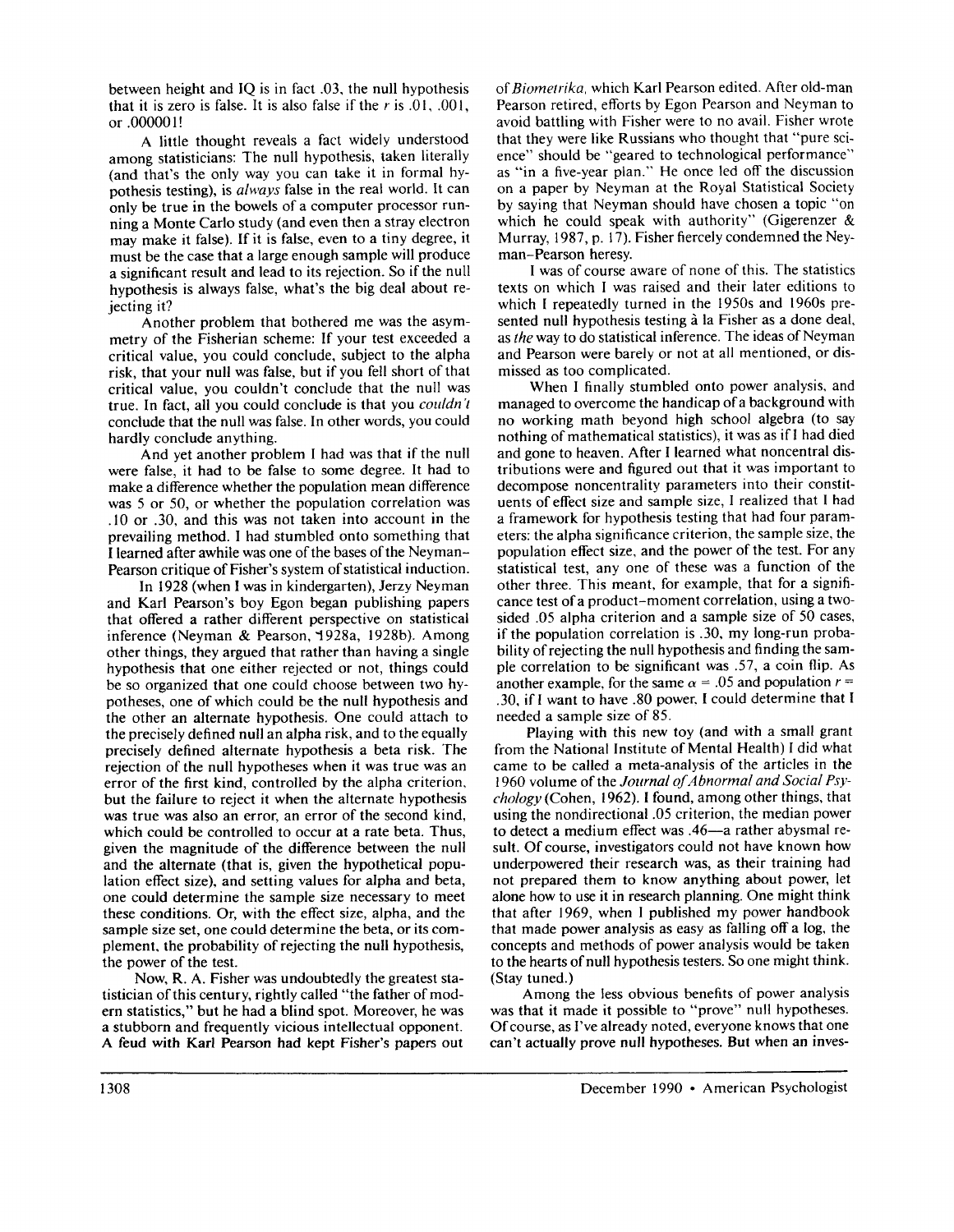between height and IQ is in fact .03, the null hypothesis that it is zero is false. It is also false if the *r* is .01, .001, or .000001!

A little thought reveals a fact widely understood among statisticians: The null hypothesis, taken literally (and that's the only way you can take it in formal hypothesis testing), is *always* false in the real world. It can only be true in the bowels of a computer processor running a Monte Carlo study (and even then a stray electron may make it false). If it is false, even to a tiny degree, it must be the case that a large enough sample will produce a significant result and lead to its rejection. So if the null hypothesis is always false, what's the big deal about rejecting it?

Another problem that bothered me was the asymmetry of the Fisherian scheme: If your test exceeded a critical value, you could conclude, subject to the alpha risk, that your null was false, but if you fell short of that critical value, you couldn't conclude that the null was true. In fact, all you could conclude is that you *couldn 't* conclude that the null was false. In other words, you could hardly conclude anything.

And yet another problem I had was that if the null were false, it had to be false to some degree. It had to make a difference whether the population mean difference was 5 or 50, or whether the population correlation was .10 or .30, and this was not taken into account in the prevailing method. I had stumbled onto something that I learned after awhile was one of the bases of the Ney man-Pearson critique of Fisher's system of statistical induction.

In 1928 (when I was in kindergarten), Jerzy Neyman and Karl Pearson's boy Egon began publishing papers that offered a rather different perspective on statistical inference (Neyman & Pearson, 1928a, 1928b). Among other things, they argued that rather than having a single hypothesis that one either rejected or not, things could be so organized that one could choose between two hypotheses, one of which could be the null hypothesis and the other an alternate hypothesis. One could attach to the precisely defined null an alpha risk, and to the equally precisely defined alternate hypothesis a beta risk. The rejection of the null hypotheses when it was true was an error of the first kind, controlled by the alpha criterion, but the failure to reject it when the alternate hypothesis was true was also an error, an error of the second kind, which could be controlled to occur at a rate beta. Thus, given the magnitude of the difference between the null and the alternate (that is, given the hypothetical population effect size), and setting values for alpha and beta, one could determine the sample size necessary to meet these conditions. Or, with the effect size, alpha, and the sample size set, one could determine the beta, or its complement, the probability of rejecting the null hypothesis, the power of the test.

Now, R. A. Fisher was undoubtedly the greatest statistician of this century, rightly called "the father of modern statistics," but he had a blind spot. Moreover, he was a stubborn and frequently vicious intellectual opponent. A feud with Karl Pearson had kept Fisher's papers out of *Biometrika,* which Karl Pearson edited. After old-man Pearson retired, efforts by Egon Pearson and Neyman to avoid battling with Fisher were to no avail. Fisher wrote that they were like Russians who thought that "pure science" should be "geared to technological performance" as "in a five-year plan." He once led off the discussion on a paper by Neyman at the Royal Statistical Society by saying that Neyman should have chosen a topic "on which he could speak with authority" (Gigerenzer & Murray, 1987, p. 17). Fisher fiercely condemned the Neyman-Pearson heresy.

I was of course aware of none of this. The statistics texts on which I was raised and their later editions to which I repeatedly turned in the 1950s and 1960s presented null hypothesis testing a la Fisher as a done deal, as *the* way to do statistical inference. The ideas of Neyman and Pearson were barely or not at all mentioned, or dismissed as too complicated.

When I finally stumbled onto power analysis, and managed to overcome the handicap of a background with no working math beyond high school algebra (to say nothing of mathematical statistics), it was as if I had died and gone to heaven. After I learned what noncentral distributions were and figured out that it was important to decompose noncentrality parameters into their constituents of effect size and sample size, I realized that I had a framework for hypothesis testing that had four parameters: the alpha significance criterion, the sample size, the population effect size, and the power of the test. For any statistical test, any one of these was a function of the other three. This meant, for example, that for a significance test of a product-moment correlation, using a twosided .05 alpha criterion and a sample size of 50 cases, if the population correlation is .30, my long-run probability of rejecting the null hypothesis and finding the sample correlation to be significant was .57, a coin flip. As another example, for the same  $\alpha$  = .05 and population  $r =$ .30, if I want to have .80 power. I could determine that I needed a sample size of 85.

Playing with this new toy (and with a small grant from the National Institute of Mental Health) I did what came to be called a meta-analysis of the articles in the 1960 volume of the *Journal of Abnormal and Social Psychology* (Cohen, 1962). I found, among other things, that using the nondirectional .05 criterion, the median power to detect a medium effect was .46—a rather abysmal result. Of course, investigators could not have known how underpowered their research was, as their training had not prepared them to know anything about power, let alone how to use it in research planning. One might think that after 1969, when I published my power handbook that made power analysis as easy as falling off a log, the concepts and methods of power analysis would be taken to the hearts of null hypothesis testers. So one might think. (Stay tuned.)

Among the less obvious benefits of power analysis was that it made it possible to "prove" null hypotheses. Of course, as I've already noted, everyone knows that one can't actually prove null hypotheses. But when an inves-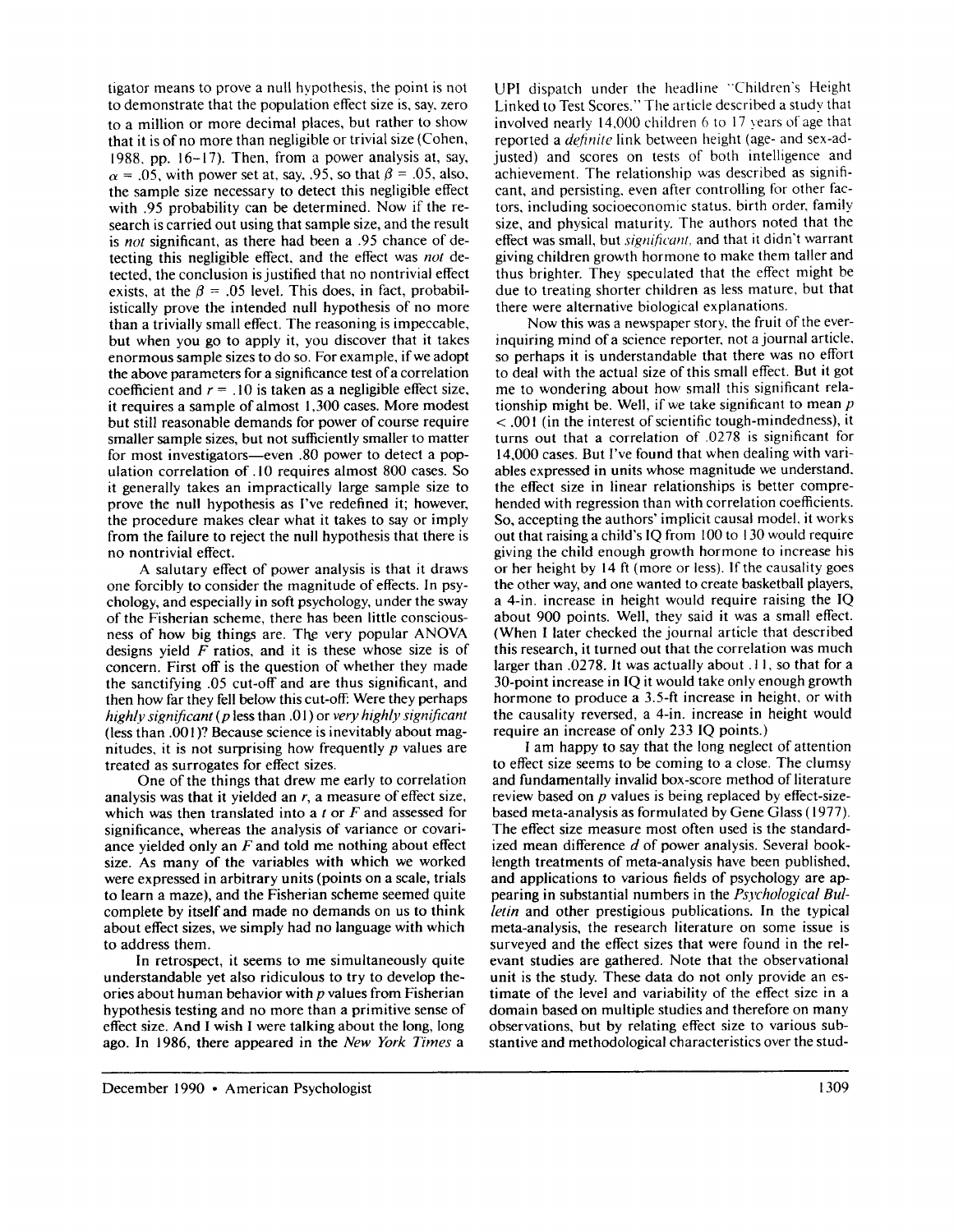tigator means to prove a null hypothesis, the point is not to demonstrate that the population effect size is, say, zero to a million or more decimal places, but rather to show that it is of no more than negligible or trivial size (Cohen, 1988, pp. 16-17). Then, from a power analysis at, say,  $\alpha$  = .05, with power set at, say, .95, so that  $\beta$  = .05, also, the sample size necessary to detect this negligible effect with .95 probability can be determined. Now if the research is carried out using that sample size, and the result is *not* significant, as there had been a .95 chance of detecting this negligible effect, and the effect was *not* detected, the conclusion is justified that no nontrivial effect exists, at the *P =* .05 level. This does, in fact, probabilexists, at the  $p = 0.0$  level. This does, in fact, probabili-<br>intended number of no more istically prove the intended null hypothesis of no more than a trivially small effect. The reasoning is impeccable, but when you go to apply it, you discover that it takes enormous sample sizes to do so. For example, if we adopt the above parameters for a significance test of a correlation coefficient and  $r = .10$  is taken as a negligible effect size, it requires a sample of almost  $1,300$  cases. More modest but still reasonable demands for power of course require smaller sample sizes, but not sufficiently smaller to matter for most investigators—even .80 power to detect a population correlation of .10 requires almost 800 cases. So it generally takes an impractically large sample size to prove the null hypothesis as I've redefined it; however, the procedure makes clear what it takes to say or imply from the failure to reject the null hypothesis that there is no nontrivial effect.

A salutary effect of power analysis is that it draws one forcibly to consider the magnitude of effects. In psychology, and especially in soft psychology, under the sway of the Fisherian scheme, there has been little consciousness of how big things are. The very popular ANOVA designs yield *F* ratios, and it is these whose size is of concern. First off is the question of whether they made the sanctifying .05 cut-off and are thus significant, and then how far they fell below this cut-off: Were they perhaps *highly significant (p* less than .01) or *very highly significant* (less than .001)? Because science is inevitably about magnitudes, it is not surprising how frequently *p* values are treated as surrogates for effect sizes.

One of the things that drew me early to correlation analysis was that it yielded an  $r$ , a measure of effect size, which was then translated into *a t or F* and assessed for significance, whereas the analysis of variance or covariance yielded only an *F* and told me nothing about effect size. As many of the variables with which we worked were expressed in arbitrary units (points on a scale, trials to learn a maze), and the Fisherian scheme seemed quite complete by itself and made no demands on us to think about effect sizes, we simply had no language with which to address them.

In retrospect, it seems to me simultaneously quite understandable yet also ridiculous to try to develop theories about human behavior with *p* values from Fisherian hypothesis testing and no more than a primitive sense of effect size. And I wish I were talking about the long, long ago. In 1986, there appeared in the *New York Times* a

UPI dispatch under the headline "Children's Height Linked to Test Scores." The article described a study that involved nearly 14,000 children 6 to 17 years of age that reported a *definite* link between height (age- and sex-adjusted) and scores on tests of both intelligence and achievement. The relationship was described as significant, and persisting, even after controlling for other factors, including socioeconomic status, birth order, family size, and physical maturity. The authors noted that the effect was small, but *significant,* and that it didn't warrant giving children growth hormone to make them taller and thus brighter. They speculated that the effect might be due to treating shorter children as less mature, but that there were alternative biological explanations.

Now this was a newspaper story, the fruit of the everinquiring mind of a science reporter, not a journal article, so perhaps it is understandable that there was no effort to deal with the actual size of this small effect. But it got me to wondering about how small this significant relationship might be. Well, if we take significant to mean *p <* .001 (in the interest of scientific tough-mindedness), it turns out that a correlation of .0278 is significant for 14,000 cases. But I've found that when dealing with variables expressed in units whose magnitude we understand, the effect size in linear relationships is better comprehended with regression than with correlation coefficients. So, accepting the authors' implicit causal model, it works out that raising a child's IQ from 100 to 130 would require giving the child enough growth hormone to increase his or her height by 14 ft (more or less). If the causality goes the other way, and one wanted to create basketball players, a 4-in. increase in height would require raising the IQ about 900 points. Well, they said it was a small effect. (When I later checked the journal article that described this research, it turned out that the correlation was much larger than .0278. It was actually about . 11, so that for a 30-point increase in IQ it would take only enough growth hormone to produce a 3.5-ft increase in height, or with the causality reversed, a 4-in. increase in height would require an increase of only 233 IQ points.)

I am happy to say that the long neglect of attention to effect size seems to be coming to a close. The clumsy and fundamentally invalid box-score method of literature review based on *p* values is being replaced by effect-sizebased meta-analysis as formulated by Gene Glass (1977). The effect size measure most often used is the standardized mean difference *d* of power analysis. Several booklength treatments of meta-analysis have been published, and applications to various fields of psychology are appearing in substantial numbers in the *Psychological Bulletin* and other prestigious publications. In the typical meta-analysis, the research literature on some issue is surveyed and the effect sizes that were found in the relevant studies are gathered. Note that the observational unit is the study. These data do not only provide an estimate of the level and variability of the effect size in a domain based on multiple studies and therefore on many observations, but by relating effect size to various substantive and methodological characteristics over the stud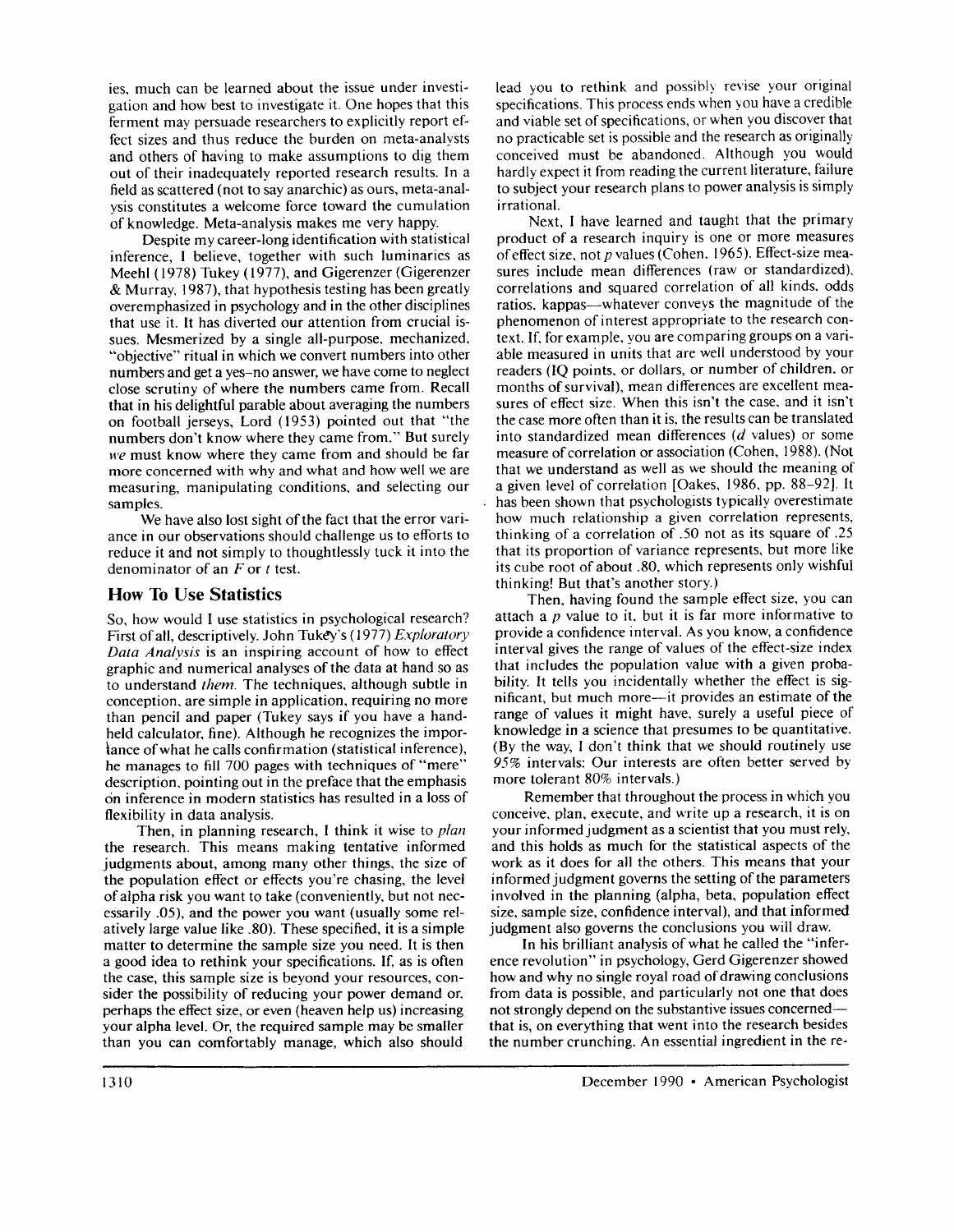ies, much can be learned about the issue under investigation and how best to investigate it. One hopes that this ferment may persuade researchers to explicitly report effect sizes and thus reduce the burden on meta-analysts and others of having to make assumptions to dig them out of their inadequately reported research results. In a field as scattered (not to say anarchic) as ours, meta-analysis constitutes a welcome force toward the cumulation of knowledge. Meta-analysis makes me very happy.

Despite my career-long identification with statistical inference, I believe, together with such luminaries as Meehl (1978) Tukey (1977), and Gigerenzer (Gigerenzer & Murray, 1987), that hypothesis testing has been greatly overemphasized in psychology and in the other disciplines that use it. It has diverted our attention from crucial issues. Mesmerized by a single all-purpose, mechanized, "objective" ritual in which we convert numbers into other numbers and get a yes-no answer, we have come to neglect close scrutiny of where the numbers came from. Recall that in his delightful parable about averaging the numbers on football jerseys, Lord (1953) pointed out that "the numbers don't know where they came from." But surely *we* must know where they came from and should be far more concerned with why and what and how well we are measuring, manipulating conditions, and selecting our samples.

We have also lost sight of the fact that the error variance in our observations should challenge us to efforts to reduce it and not simply to thoughtlessly tuck it into the denominator of an For *t* test.

### How To Use Statistics

So, how would I use statistics in psychological research? First of all, descriptively. John Tukey's (1977) *Exploratory Data Analysis* is an inspiring account of how to effect graphic and numerical analyses of the data at hand so as to understand *them.* The techniques, although subtle in conception, are simple in application, requiring no more than pencil and paper (Tukey says if you have a handheld calculator, fine). Although he recognizes the importance of what he calls confirmation (statistical inference), he manages to fill 700 pages with techniques of "mere" description, pointing out in the preface that the emphasis on inference in modern statistics has resulted in a loss of flexibility in data analysis.

Then, in planning research, I think it wise to *plan* the research. This means making tentative informed judgments about, among many other things, the size of the population effect or effects you're chasing, the level of alpha risk you want to take (conveniently, but not necessarily .05), and the power you want (usually some relatively large value like .80). These specified, it is a simple matter to determine the sample size you need. It is then a good idea to rethink your specifications. If, as is often the case, this sample size is beyond your resources, consider the possibility of reducing your power demand or, perhaps the effect size, or even (heaven help us) increasing your alpha level. Or, the required sample may be smaller than you can comfortably manage, which also should

lead you to rethink and possibly revise your original specifications. This process ends when you have a credible and viable set of specifications, or when you discover that no practicable set is possible and the research as originally conceived must be abandoned. Although you would hardly expect it from reading the current literature, failure to subject your research plans to power analysis is simply irrational.

Next, I have learned and taught that the primary product of a research inquiry is one or more measures of effect size, not *p* values (Cohen. 1965). Effect-size measures include mean differences (raw or standardized), correlations and squared correlation of all kinds, odds ratios, kappas—whatever conveys the magnitude of the phenomenon of interest appropriate to the research context. If, for example, you are comparing groups on a variable measured in units that are well understood by your readers (IQ points, or dollars, or number of children, or months of survival), mean differences are excellent measures of effect size. When this isn't the case, and it isn't the case more often than it is. the results can be translated into standardized mean differences *(d* values) or some measure of correlation or association (Cohen, 1988). (Not that we understand as well as we should the meaning of a given level of correlation [Oakes, 1986, pp. 88-92]. It has been shown that psychologists typically overestimate how much relationship a given correlation represents, thinking of a correlation of .50 not as its square of .25 that its proportion of variance represents, but more like its cube root of about .80, which represents only wishful thinking! But that's another story.)

Then, having found the sample effect size, you can attach a *p* value to it, but it is far more informative to provide a confidence interval. As you know, a confidence interval gives the range of values of the effect-size index that includes the population value with a given probability. It tells you incidentally whether the effect is significant, but much more—it provides an estimate of the range of values it might have, surely a useful piece of knowledge in a science that presumes to be quantitative. (By the way, I don't think that we should routinely use 95% intervals: Our interests are often better served by more tolerant 80% intervals.)

Remember that throughout the process in which you conceive, plan, execute, and write up a research, it is on your informed judgment as a scientist that you must rely, and this holds as much for the statistical aspects of the work as it does for all the others. This means that your informed judgment governs the setting of the parameters involved in the planning (alpha, beta, population effect size, sample size, confidence interval), and that informed judgment also governs the conclusions you will draw.

In his brilliant analysis of what he called the "inference revolution" in psychology, Gerd Gigerenzer showed how and why no single royal road of drawing conclusions from data is possible, and particularly not one that does not strongly depend on the substantive issues concerned that is, on everything that went into the research besides the number crunching. An essential ingredient in the re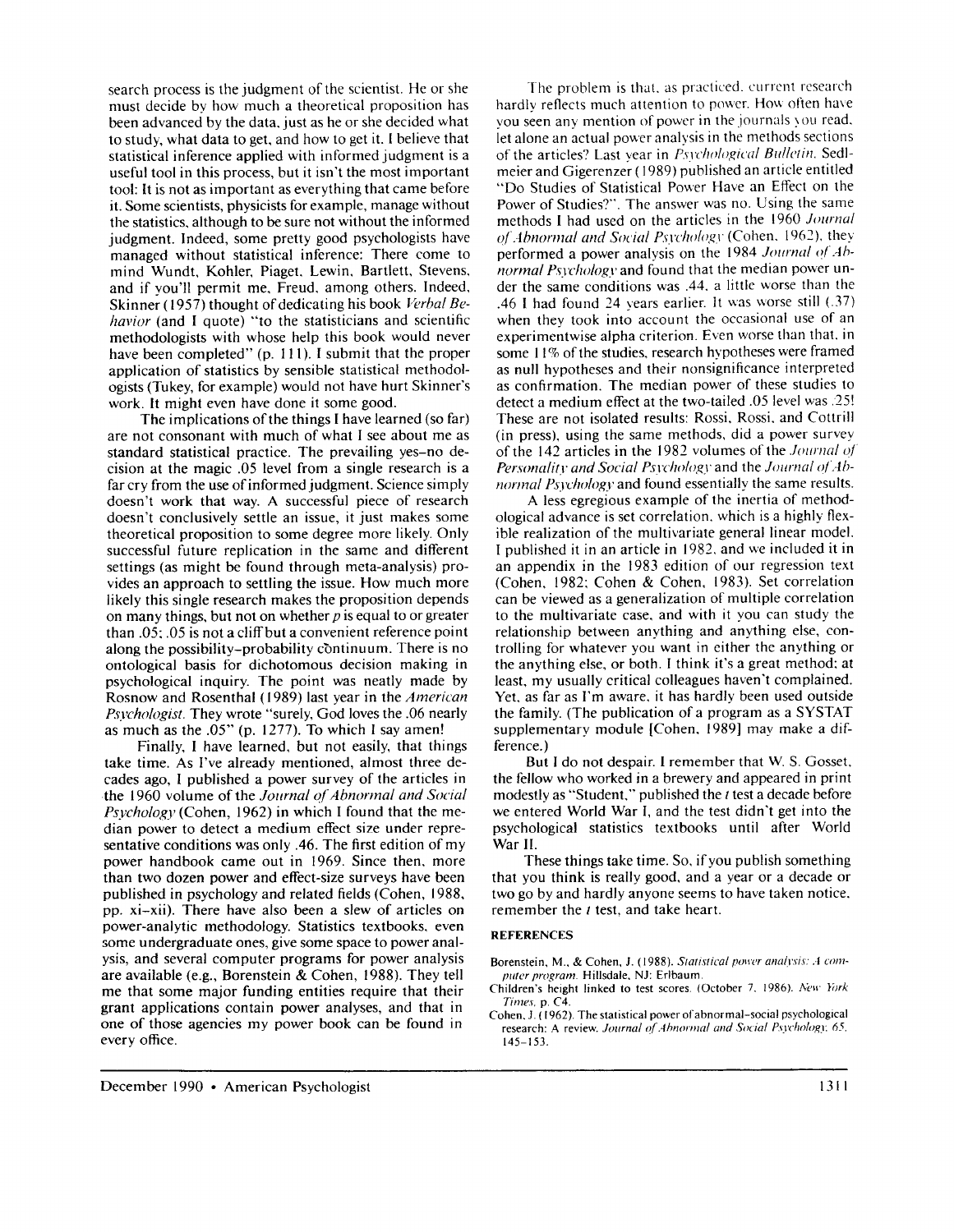search process is the judgment of the scientist. He or she must decide by how much a theoretical proposition has been advanced by the data, just as he or she decided what to study, what data to get, and how to get it. I believe that statistical inference applied with informed judgment is a useful tool in this process, but it isn't the most important tool: It is not as important as everything that came before it. Some scientists, physicists for example, manage without the statistics, although to be sure not without the informed judgment. Indeed, some pretty good psychologists have managed without statistical inference: There come to mind Wundt, Kohler, Piaget, Lewin, Bartlett, Stevens, and if you'll permit me, Freud, among others. Indeed, Skinner (1957) thought of dedicating his book *Verbal Behavior* (and I quote) "to the statisticians and scientific methodologists with whose help this book would never have been completed" (p. 111). I submit that the proper application of statistics by sensible statistical methodologists (Tukey, for example) would not have hurt Skinner's work. It might even have done it some good.

The implications of the things I have learned (so far) are not consonant with much of what I see about me as standard statistical practice. The prevailing yes-no decision at the magic .05 level from a single research is a far cry from the use of informed judgment. Science simply doesn't work that way. A successful piece of research doesn't conclusively settle an issue, it just makes some theoretical proposition to some degree more likely. Only successful future replication in the same and different settings (as might be found through meta-analysis) provides an approach to settling the issue. How much more likely this single research makes the proposition depends on many things, but not on whether *p* is equal to or greater than .05: .05 is not a cliff but a convenient reference point along the possibility-probability continuum. There is no ontological basis for dichotomous decision making in psychological inquiry. The point was neatly made by Rosnow and Rosenthal (1989) last year in the *American Psychologist.* They wrote "surely, God loves the .06 nearly as much as the .05" (p. 1277). To which I say amen!

Finally, I have learned, but not easily, that things take time. As I've already mentioned, almost three decades ago, I published a power survey of the articles in the 1960 volume of the *Journal of Abnormal and Social Psychology* (Cohen, 1962) in which I found that the median power to detect a medium effect size under representative conditions was only .46. The first edition of my power handbook came out in 1969. Since then, more than two dozen power and effect-size surveys have been published in psychology and related fields (Cohen, 1988, pp. xi-xii). There have also been a slew of articles on power-analytic methodology. Statistics textbooks, even some undergraduate ones, give some space to power analysis, and several computer programs for power analysis are available (e.g., Borenstein & Cohen, 1988). They tell me that some major funding entities require that their grant applications contain power analyses, and that in one of those agencies my power book can be found in every office.

The problem is that, as practiced, current research hardly reflects much attention to power. How often have you seen any mention of power in the journals you read, let alone an actual power analysis in the methods sections of the articles? Last year in *Psychological Bulletin,* Sedlmeier and Gigerenzer (1989) published an article entitled "Do Studies of Statistical Power Have an Effect on the Power of Studies?". The answer was no. Using the same methods I had used on the articles in the 1960 *Journal of Abnormal and Social Psychology* (Cohen. 1962), they performed a power analysis on the 1984 *Journal of Abnormal Psychology* and found that the median power under the same conditions was .44. a little worse than the .46 I had found 24 years earlier. It was worse still (.37) when they took into account the occasional use of an experimentwise alpha criterion. Even worse than that, in some 11% of the studies, research hypotheses were framed as null hypotheses and their nonsignificance interpreted as confirmation. The median power of these studies to detect a medium effect at the two-tailed .05 level was .25! These are not isolated results: Rossi. Rossi, and Cottrill (in press), using the same methods, did a power survey of the 142 articles in the 1982 volumes of the *Journal of* of the 142 articles in the 1982 volumes of the *Journal of Personality and Social Psychology* and the Journal of Ab-<br>normal Psychology and found essentially the same results.

A less egregious example of the inertia of methodological advance is set correlation, which is a highly flexible realization of the multivariate general linear model. I published it in an article in 1982, and we included it in an appendix in the 1983 edition of our regression text (Cohen, 1982; Cohen & Cohen, 1983). Set correlation can be viewed as a generalization of multiple correlation to the multivariate case, and with it you can study the relationship between anything and anything else, controlling for whatever you want in either the anything or the anything else, or both. I think it's a great method: at least, my usually critical colleagues haven't complained. Yet, as far as I'm aware, it has hardly been used outside the family. (The publication of a program as a SYSTAT supplementary module [Cohen. 1989] may make a difference.)

But I do not despair. I remember that W. S. Gosset, the fellow who worked in a brewery and appeared in print modestly as "Student," published the *t* test a decade before we entered World War I, and the test didn't get into the psychological statistics textbooks until after World War II.

These things take time. So, if you publish something that you think is really good, and a year or a decade or two go by and hardly anyone seems to have taken notice, remember the *t* test, and take heart.

#### **REFERENCES**

Borenstein, M., & Cohen, J. (1988). *Statistical power analysis: A computer program.* Hillsdale. NJ: Erlbaum

Cohen. J. (1962). The statistical power of abnormal-social psychological research: A review. *Journal of Abnormal and Social Psychology. 65.* 145-153.

December 1990 • American Psychologist 1311

Children's height linked to test scores. (October 7, 1986). New York *Times,* p. C4.